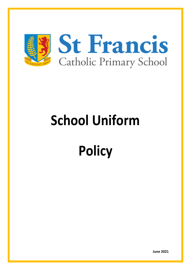

# **School Uniform**

# **Policy**

**June 2021**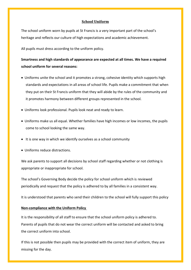## **School Uniform**

The school uniform worn by pupils at St Francis is a very important part of the school's heritage and reflects our culture of high expectations and academic achievement.

All pupils must dress according to the uniform policy.

## **Smartness and high standards of appearance are expected at all times. We have a required school uniform for several reasons:**

- Uniforms unite the school and it promotes a strong, cohesive identity which supports high standards and expectations in all areas of school life. Pupils make a commitment that when they put on their St Francis uniform that they will abide by the rules of the community and it promotes harmony between different groups represented in the school.
- Uniforms look professional. Pupils look neat and ready to learn.
- Uniforms make us all equal. Whether families have high incomes or low incomes, the pupils come to school looking the same way.
- It is one way in which we identify ourselves as a school community
- Uniforms reduce distractions.

We ask parents to support all decisions by school staff regarding whether or not clothing is appropriate or inappropriate for school.

The school's Governing Body decide the policy for school uniform which is reviewed periodically and request that the policy is adhered to by all families in a consistent way.

It is understood that parents who send their children to the school will fully support this policy

#### **Non-compliance with the Uniform Policy**

It is the responsibility of all staff to ensure that the school uniform policy is adhered to. Parents of pupils that do not wear the correct uniform will be contacted and asked to bring the correct uniform into school.

If this is not possible then pupils may be provided with the correct item of uniform, they are missing for the day.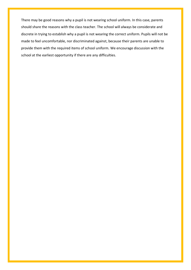There may be good reasons why a pupil is not wearing school uniform. In this case, parents should share the reasons with the class teacher. The school will always be considerate and discrete in trying to establish why a pupil is not wearing the correct uniform. Pupils will not be made to feel uncomfortable, nor discriminated against, because their parents are unable to provide them with the required items of school uniform. We encourage discussion with the school at the earliest opportunity if there are any difficulties.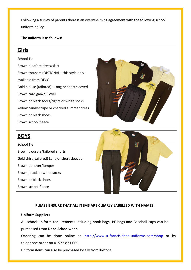Following a survey of parents there is an overwhelming agreement with the following school uniform policy.

**The uniform is as follows:** 

# **Girls**

School Tie Brown pinafore dress/skirt Brown trousers (OPTIONAL - this style only available from DECO) Gold blouse (tailored) - Long or short sleeved Brown cardigan/pullover Brown or black socks/tights or white socks Yellow candy-stripe or checked summer dress Brown or black shoes Brown school fleece



# **BOYS**

School Tie Brown trousers/tailored shorts Gold shirt (tailored) Long or short sleeved Brown pullover/jumper Brown, black or white socks Brown or black shoes Brown school fleece



## **PLEASE ENSURE THAT ALL ITEMS ARE CLEARLY LABELLED WITH NAMES.**

### **Uniform Suppliers**

All school uniform requirements including book bags, PE bags and Baseball caps can be purchased from **Deco Schoolwear**.

Ordering can be done online at <http://www.st-francis.deco-uniforms.com/shop> or by telephone order on 01572 821 665.

Uniform items can also be purchased locally from Kidzone.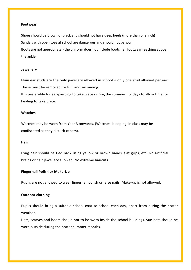#### **Footwear**

Shoes should be brown or black and should not have deep heels (more than one inch) Sandals with open toes at school are dangerous and should not be worn. Boots are not appropriate - the uniform does not include boots i.e., footwear reaching above

#### **Jewellery**

the ankle.

Plain ear studs are the only jewellery allowed in school – only one stud allowed per ear. These must be removed for P.E. and swimming.

It is preferable for ear-piercing to take place during the summer holidays to allow time for healing to take place.

#### **Watches**

Watches may be worn from Year 3 onwards. (Watches 'bleeping' in class may be confiscated as they disturb others).

#### **Hair**

Long hair should be tied back using yellow or brown bands, flat grips, etc. No artificial braids or hair jewellery allowed. No extreme haircuts.

#### **Fingernail Polish or Make-Up**

Pupils are not allowed to wear fingernail polish or false nails. Make-up is not allowed.

### **Outdoor clothing**

Pupils should bring a suitable school coat to school each day, apart from during the hotter weather.

Hats, scarves and boots should not to be worn inside the school buildings. Sun hats should be worn outside during the hotter summer months.